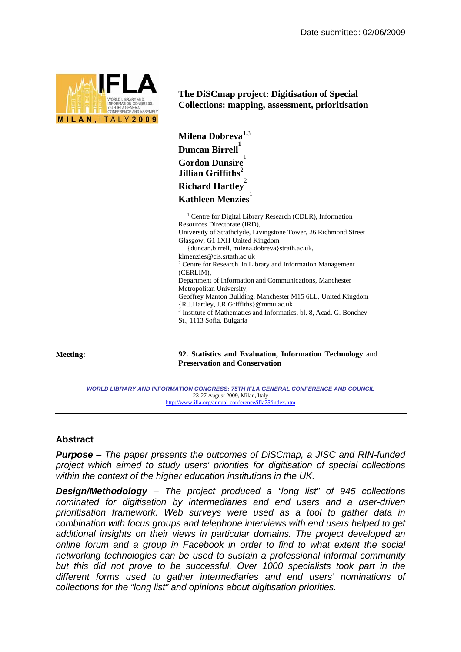

**The DiSCmap project: Digitisation of Special Collections: mapping, assessment, prioritisation** 

```
Milena Dobreva1,3 
Duncan Birrell
1
Gordon Dunsire
1
Jillian Griffiths<sup>2</sup>
Richard Hartley
2
Kathleen Menzies
                    1
```
<sup>1</sup> Centre for Digital Library Research (CDLR), Information Resources Directorate (IRD), University of Strathclyde, Livingstone Tower, 26 Richmond Street Glasgow, G1 1XH United Kingdom {duncan.birrell, milena.dobreva}strath.ac.uk, klmenzies@cis.srtath.ac.uk 2 Centre for Research in Library and Information Management (CERLIM), Department of Information and Communications, Manchester Metropolitan University, Geoffrey Manton Building, Manchester M15 6LL, United Kingdom {R.J.Hartley, J.R.Griffiths}@mmu.ac.uk 3 Institute of Mathematics and Informatics, bl. 8, Acad. G. Bonchev St., 1113 Sofia, Bulgaria

**Meeting: 92. Statistics and Evaluation, Information Technology** and **Preservation and Conservation**

*WORLD LIBRARY AND INFORMATION CONGRESS: 75TH IFLA GENERAL CONFERENCE AND COUNCIL*  23-27 August 2009, Milan, Italy http://www.ifla.org/annual-conference/ifla75/index.htm

## **Abstract**

*Purpose – The paper presents the outcomes of DiSCmap, a JISC and RIN-funded project which aimed to study users' priorities for digitisation of special collections within the context of the higher education institutions in the UK.* 

*Design/Methodology – The project produced a "long list" of 945 collections nominated for digitisation by intermediaries and end users and a user-driven prioritisation framework. Web surveys were used as a tool to gather data in combination with focus groups and telephone interviews with end users helped to get additional insights on their views in particular domains. The project developed an online forum and a group in Facebook in order to find to what extent the social networking technologies can be used to sustain a professional informal community but this did not prove to be successful. Over 1000 specialists took part in the different forms used to gather intermediaries and end users' nominations of collections for the "long list" and opinions about digitisation priorities.*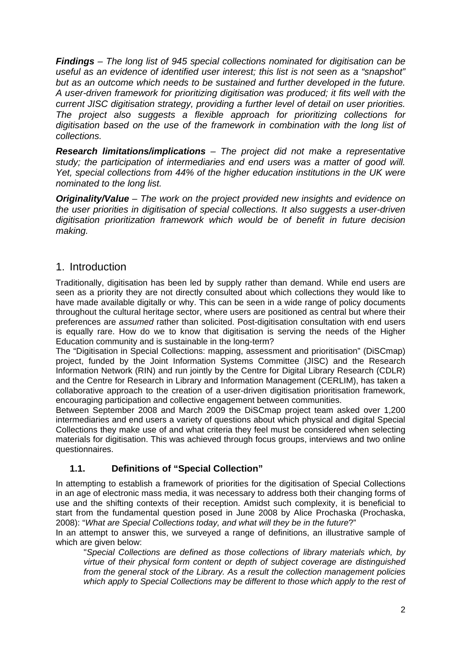*Findings – The long list of 945 special collections nominated for digitisation can be useful as an evidence of identified user interest; this list is not seen as a "snapshot" but as an outcome which needs to be sustained and further developed in the future. A user-driven framework for prioritizing digitisation was produced; it fits well with the current JISC digitisation strategy, providing a further level of detail on user priorities. The project also suggests a flexible approach for prioritizing collections for digitisation based on the use of the framework in combination with the long list of collections.* 

*Research limitations/implications – The project did not make a representative study; the participation of intermediaries and end users was a matter of good will. Yet, special collections from 44% of the higher education institutions in the UK were nominated to the long list.* 

*Originality/Value – The work on the project provided new insights and evidence on the user priorities in digitisation of special collections. It also suggests a user-driven digitisation prioritization framework which would be of benefit in future decision making.*

# 1. Introduction

Traditionally, digitisation has been led by supply rather than demand. While end users are seen as a priority they are not directly consulted about which collections they would like to have made available digitally or why. This can be seen in a wide range of policy documents throughout the cultural heritage sector, where users are positioned as central but where their preferences are *assumed* rather than solicited. Post-digitisation consultation with end users is equally rare. How do we to know that digitisation is serving the needs of the Higher Education community and is sustainable in the long-term?

The "Digitisation in Special Collections: mapping, assessment and prioritisation" (DiSCmap) project, funded by the Joint Information Systems Committee (JISC) and the Research Information Network (RIN) and run jointly by the Centre for Digital Library Research (CDLR) and the Centre for Research in Library and Information Management (CERLIM), has taken a collaborative approach to the creation of a user-driven digitisation prioritisation framework, encouraging participation and collective engagement between communities.

Between September 2008 and March 2009 the DiSCmap project team asked over 1,200 intermediaries and end users a variety of questions about which physical and digital Special Collections they make use of and what criteria they feel must be considered when selecting materials for digitisation. This was achieved through focus groups, interviews and two online questionnaires.

# **1.1. Definitions of "Special Collection"**

In attempting to establish a framework of priorities for the digitisation of Special Collections in an age of electronic mass media, it was necessary to address both their changing forms of use and the shifting contexts of their reception. Amidst such complexity, it is beneficial to start from the fundamental question posed in June 2008 by Alice Prochaska (Prochaska, 2008): "*What are Special Collections today, and what will they be in the future*?"

In an attempt to answer this, we surveyed a range of definitions, an illustrative sample of which are given below:

"*Special Collections are defined as those collections of library materials which, by virtue of their physical form content or depth of subject coverage are distinguished from the general stock of the Library. As a result the collection management policies which apply to Special Collections may be different to those which apply to the rest of*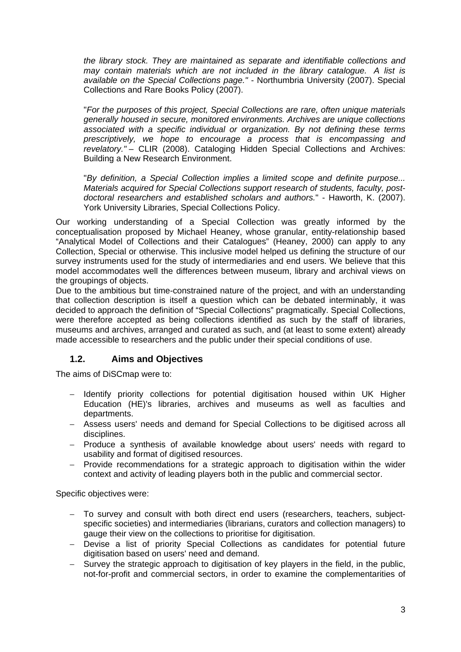*the library stock. They are maintained as separate and identifiable collections and may contain materials which are not included in the library catalogue. A list is available on the Special Collections page."* - Northumbria University (2007). Special Collections and Rare Books Policy (2007).

"*For the purposes of this project, Special Collections are rare, often unique materials generally housed in secure, monitored environments. Archives are unique collections associated with a specific individual or organization. By not defining these terms prescriptively, we hope to encourage a process that is encompassing and revelatory."* – CLIR (2008). Cataloging Hidden Special Collections and Archives: Building a New Research Environment.

"*By definition, a Special Collection implies a limited scope and definite purpose... Materials acquired for Special Collections support research of students, faculty, postdoctoral researchers and established scholars and authors.*" - Haworth, K. (2007). York University Libraries, Special Collections Policy.

Our working understanding of a Special Collection was greatly informed by the conceptualisation proposed by Michael Heaney, whose granular, entity-relationship based "Analytical Model of Collections and their Catalogues" (Heaney, 2000) can apply to any Collection, Special or otherwise. This inclusive model helped us defining the structure of our survey instruments used for the study of intermediaries and end users. We believe that this model accommodates well the differences between museum, library and archival views on the groupings of objects.

Due to the ambitious but time-constrained nature of the project, and with an understanding that collection description is itself a question which can be debated interminably, it was decided to approach the definition of "Special Collections" pragmatically. Special Collections, were therefore accepted as being collections identified as such by the staff of libraries, museums and archives, arranged and curated as such, and (at least to some extent) already made accessible to researchers and the public under their special conditions of use.

# **1.2. Aims and Objectives**

The aims of DiSCmap were to:

- − Identify priority collections for potential digitisation housed within UK Higher Education (HE)'s libraries, archives and museums as well as faculties and departments.
- − Assess users' needs and demand for Special Collections to be digitised across all disciplines.
- − Produce a synthesis of available knowledge about users' needs with regard to usability and format of digitised resources.
- − Provide recommendations for a strategic approach to digitisation within the wider context and activity of leading players both in the public and commercial sector.

Specific objectives were:

- − To survey and consult with both direct end users (researchers, teachers, subjectspecific societies) and intermediaries (librarians, curators and collection managers) to gauge their view on the collections to prioritise for digitisation.
- − Devise a list of priority Special Collections as candidates for potential future digitisation based on users' need and demand.
- − Survey the strategic approach to digitisation of key players in the field, in the public, not-for-profit and commercial sectors, in order to examine the complementarities of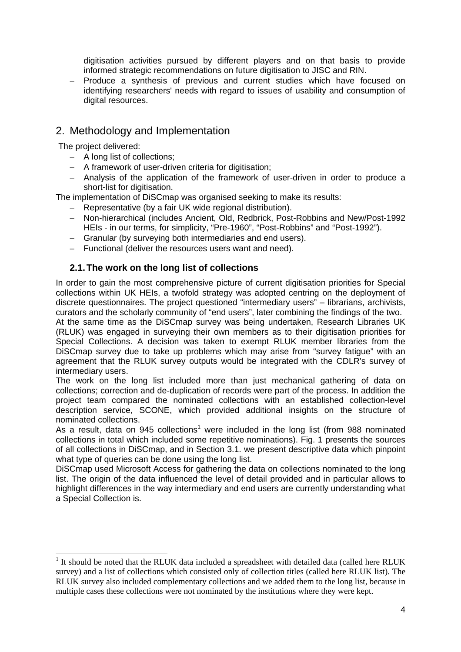digitisation activities pursued by different players and on that basis to provide informed strategic recommendations on future digitisation to JISC and RIN.

− Produce a synthesis of previous and current studies which have focused on identifying researchers' needs with regard to issues of usability and consumption of digital resources.

# 2. Methodology and Implementation

The project delivered:

- − A long list of collections;
- − A framework of user-driven criteria for digitisation;
- − Analysis of the application of the framework of user-driven in order to produce a short-list for digitisation.

The implementation of DiSCmap was organised seeking to make its results:

- − Representative (by a fair UK wide regional distribution).
- − Non-hierarchical (includes Ancient, Old, Redbrick, Post-Robbins and New/Post-1992 HEIs - in our terms, for simplicity, "Pre-1960", "Post-Robbins" and "Post-1992").
- − Granular (by surveying both intermediaries and end users).
- − Functional (deliver the resources users want and need).

## **2.1. The work on the long list of collections**

In order to gain the most comprehensive picture of current digitisation priorities for Special collections within UK HEIs, a twofold strategy was adopted centring on the deployment of discrete questionnaires. The project questioned "intermediary users" – librarians, archivists, curators and the scholarly community of "end users", later combining the findings of the two.

At the same time as the DiSCmap survey was being undertaken, Research Libraries UK (RLUK) was engaged in surveying their own members as to their digitisation priorities for Special Collections. A decision was taken to exempt RLUK member libraries from the DiSCmap survey due to take up problems which may arise from "survey fatigue" with an agreement that the RLUK survey outputs would be integrated with the CDLR's survey of intermediary users.

The work on the long list included more than just mechanical gathering of data on collections; correction and de-duplication of records were part of the process. In addition the project team compared the nominated collections with an established collection-level description service, SCONE, which provided additional insights on the structure of nominated collections.

As a result, data on 945 collections<sup>1</sup> were included in the long list (from 988 nominated collections in total which included some repetitive nominations). Fig. 1 presents the sources of all collections in DiSCmap, and in Section 3.1. we present descriptive data which pinpoint what type of queries can be done using the long list.

DiSCmap used Microsoft Access for gathering the data on collections nominated to the long list. The origin of the data influenced the level of detail provided and in particular allows to highlight differences in the way intermediary and end users are currently understanding what a Special Collection is.

<sup>&</sup>lt;sup>1</sup> It should be noted that the RLUK data included a spreadsheet with detailed data (called here RLUK survey) and a list of collections which consisted only of collection titles (called here RLUK list). The RLUK survey also included complementary collections and we added them to the long list, because in multiple cases these collections were not nominated by the institutions where they were kept.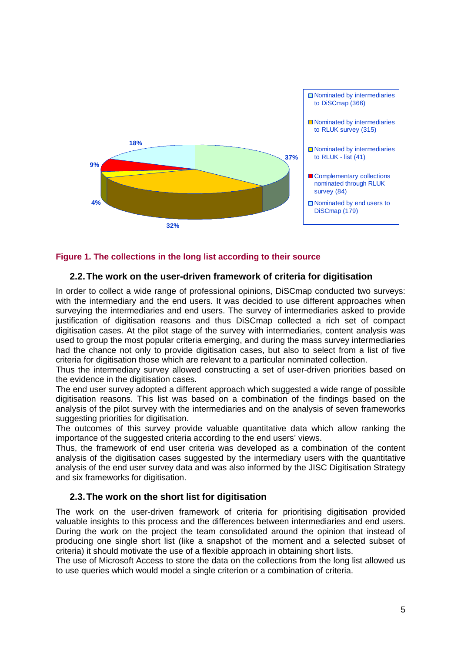

#### **Figure 1. The collections in the long list according to their source**

#### **2.2. The work on the user-driven framework of criteria for digitisation**

In order to collect a wide range of professional opinions, DiSCmap conducted two surveys: with the intermediary and the end users. It was decided to use different approaches when surveying the intermediaries and end users. The survey of intermediaries asked to provide justification of digitisation reasons and thus DiSCmap collected a rich set of compact digitisation cases. At the pilot stage of the survey with intermediaries, content analysis was used to group the most popular criteria emerging, and during the mass survey intermediaries had the chance not only to provide digitisation cases, but also to select from a list of five criteria for digitisation those which are relevant to a particular nominated collection.

Thus the intermediary survey allowed constructing a set of user-driven priorities based on the evidence in the digitisation cases.

The end user survey adopted a different approach which suggested a wide range of possible digitisation reasons. This list was based on a combination of the findings based on the analysis of the pilot survey with the intermediaries and on the analysis of seven frameworks suggesting priorities for digitisation.

The outcomes of this survey provide valuable quantitative data which allow ranking the importance of the suggested criteria according to the end users' views.

Thus, the framework of end user criteria was developed as a combination of the content analysis of the digitisation cases suggested by the intermediary users with the quantitative analysis of the end user survey data and was also informed by the JISC Digitisation Strategy and six frameworks for digitisation.

#### **2.3. The work on the short list for digitisation**

The work on the user-driven framework of criteria for prioritising digitisation provided valuable insights to this process and the differences between intermediaries and end users. During the work on the project the team consolidated around the opinion that instead of producing one single short list (like a snapshot of the moment and a selected subset of criteria) it should motivate the use of a flexible approach in obtaining short lists.

The use of Microsoft Access to store the data on the collections from the long list allowed us to use queries which would model a single criterion or a combination of criteria.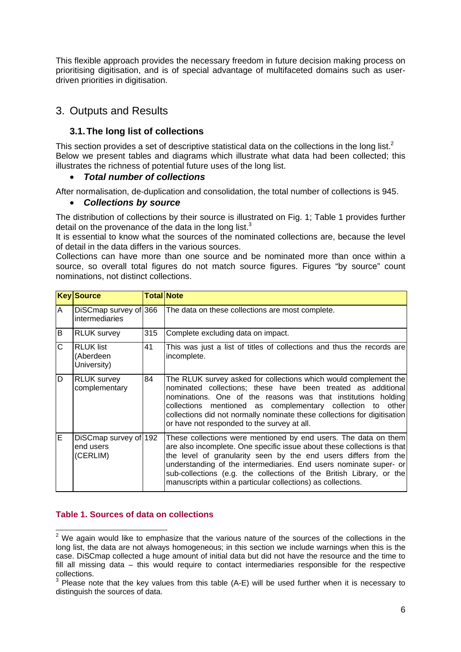This flexible approach provides the necessary freedom in future decision making process on prioritising digitisation, and is of special advantage of multifaceted domains such as userdriven priorities in digitisation.

# 3. Outputs and Results

# **3.1. The long list of collections**

This section provides a set of descriptive statistical data on the collections in the long list.<sup>2</sup> Below we present tables and diagrams which illustrate what data had been collected; this illustrates the richness of potential future uses of the long list.

# • *Total number of collections*

After normalisation, de-duplication and consolidation, the total number of collections is 945.

## • *Collections by source*

The distribution of collections by their source is illustrated on Fig. 1; Table 1 provides further detail on the provenance of the data in the long list. $3$ 

It is essential to know what the sources of the nominated collections are, because the level of detail in the data differs in the various sources.

Collections can have more than one source and be nominated more than once within a source, so overall total figures do not match source figures. Figures "by source" count nominations, not distinct collections.

|              | <b>Key Source</b>                              | <b>Total Note</b> |                                                                                                                                                                                                                                                                                                                                                                                                                            |  |  |  |  |
|--------------|------------------------------------------------|-------------------|----------------------------------------------------------------------------------------------------------------------------------------------------------------------------------------------------------------------------------------------------------------------------------------------------------------------------------------------------------------------------------------------------------------------------|--|--|--|--|
| A            | DiSCmap survey of 366<br><i>intermediaries</i> |                   | The data on these collections are most complete.                                                                                                                                                                                                                                                                                                                                                                           |  |  |  |  |
| B            | <b>RLUK survey</b>                             | 315               | Complete excluding data on impact.                                                                                                                                                                                                                                                                                                                                                                                         |  |  |  |  |
| $\mathsf{C}$ | <b>RLUK</b> list<br>(Aberdeen<br>University)   | 41                | This was just a list of titles of collections and thus the records are<br>incomplete.                                                                                                                                                                                                                                                                                                                                      |  |  |  |  |
| D            | <b>RLUK survey</b><br>complementary            | 84                | The RLUK survey asked for collections which would complement the<br>nominated collections; these have been treated as additional<br>nominations. One of the reasons was that institutions holding<br>collections mentioned as complementary collection to other<br>collections did not normally nominate these collections for digitisation<br>or have not responded to the survey at all.                                 |  |  |  |  |
| E            | DiSCmap survey of 192<br>end users<br>(CERLIM) |                   | These collections were mentioned by end users. The data on them<br>are also incomplete. One specific issue about these collections is that<br>the level of granularity seen by the end users differs from the<br>understanding of the intermediaries. End users nominate super- or<br>sub-collections (e.g. the collections of the British Library, or the<br>manuscripts within a particular collections) as collections. |  |  |  |  |

## **Table 1. Sources of data on collections**

**EXECUTE:**<br><sup>2</sup> We again would like to emphasize that the various nature of the sources of the collections in the long list, the data are not always homogeneous; in this section we include warnings when this is the case. DiSCmap collected a huge amount of initial data but did not have the resource and the time to fill all missing data – this would require to contact intermediaries responsible for the respective collections.

 $3$  Please note that the key values from this table (A-E) will be used further when it is necessary to distinguish the sources of data.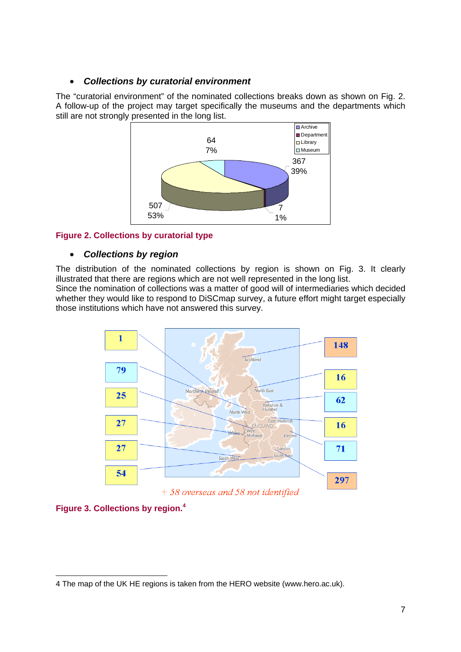# • *Collections by curatorial environment*

The "curatorial environment" of the nominated collections breaks down as shown on Fig. 2. A follow-up of the project may target specifically the museums and the departments which still are not strongly presented in the long list.



## **Figure 2. Collections by curatorial type**

## • *Collections by region*

The distribution of the nominated collections by region is shown on Fig. 3. It clearly illustrated that there are regions which are not well represented in the long list.

Since the nomination of collections was a matter of good will of intermediaries which decided whether they would like to respond to DiSCmap survey, a future effort might target especially those institutions which have not answered this survey.



**Figure 3. Collections by region.<sup>4</sup>**

 $\overline{a}$ 4 The map of the UK HE regions is taken from the HERO website (www.hero.ac.uk).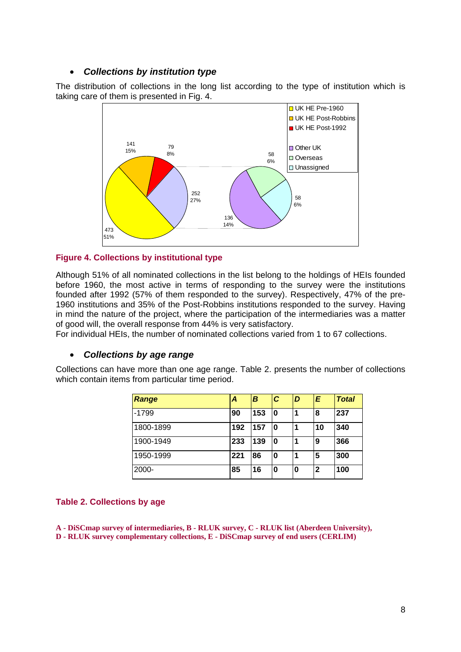## • *Collections by institution type*

The distribution of collections in the long list according to the type of institution which is taking care of them is presented in Fig. 4.



#### **Figure 4. Collections by institutional type**

Although 51% of all nominated collections in the list belong to the holdings of HEIs founded before 1960, the most active in terms of responding to the survey were the institutions founded after 1992 (57% of them responded to the survey). Respectively, 47% of the pre-1960 institutions and 35% of the Post-Robbins institutions responded to the survey. Having in mind the nature of the project, where the participation of the intermediaries was a matter of good will, the overall response from 44% is very satisfactory.

For individual HEIs, the number of nominated collections varied from 1 to 67 collections.

#### • *Collections by age range*

Collections can have more than one age range. Table 2. presents the number of collections which contain items from particular time period.

| <b>Range</b> | Α   | B   | C  | D | E  | <b>Total</b> |
|--------------|-----|-----|----|---|----|--------------|
| $-1799$      | 90  | 153 | 10 | 1 | 8  | 237          |
| 1800-1899    | 192 | 157 | 10 | 1 | 10 | 340          |
| 1900-1949    | 233 | 139 | 0  | 1 | 9  | 366          |
| 1950-1999    | 221 | 86  | 0  | 1 | 5  | 300          |
| 2000-        | 85  | 16  | 0  | 0 | 2  | 100          |

#### **Table 2. Collections by age**

**A - DiSCmap survey of intermediaries, B - RLUK survey, C - RLUK list (Aberdeen University), D - RLUK survey complementary collections, E - DiSCmap survey of end users (CERLIM)**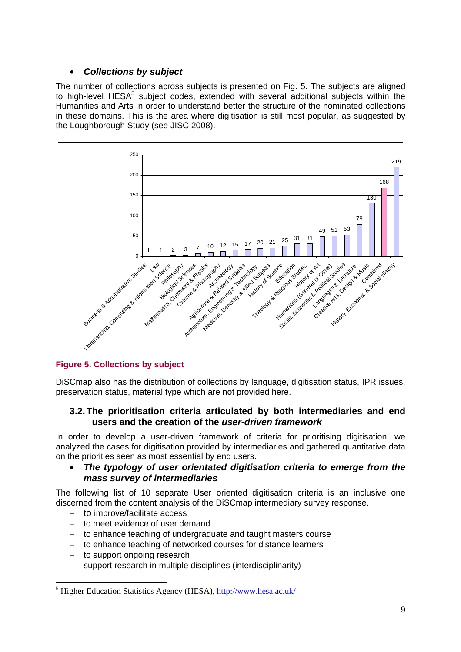# • *Collections by subject*

The number of collections across subjects is presented on Fig. 5. The subjects are aligned to high-level  $HESA<sup>5</sup>$  subject codes, extended with several additional subjects within the Humanities and Arts in order to understand better the structure of the nominated collections in these domains. This is the area where digitisation is still most popular, as suggested by the Loughborough Study (see JISC 2008).



# **Figure 5. Collections by subject**

DiSCmap also has the distribution of collections by language, digitisation status, IPR issues, preservation status, material type which are not provided here.

## **3.2. The prioritisation criteria articulated by both intermediaries and end users and the creation of the** *user-driven framework*

In order to develop a user-driven framework of criteria for prioritising digitisation, we analyzed the cases for digitisation provided by intermediaries and gathered quantitative data on the priorities seen as most essential by end users.

# • *The typology of user orientated digitisation criteria to emerge from the mass survey of intermediaries*

The following list of 10 separate User oriented digitisation criteria is an inclusive one discerned from the content analysis of the DiSCmap intermediary survey response.

- − to improve/facilitate access
- − to meet evidence of user demand
- to enhance teaching of undergraduate and taught masters course
- − to enhance teaching of networked courses for distance learners
- − to support ongoing research

support research in multiple disciplines (interdisciplinarity)

<sup>&</sup>lt;sup>5</sup> Higher Education Statistics Agency (HESA), http://www.hesa.ac.uk/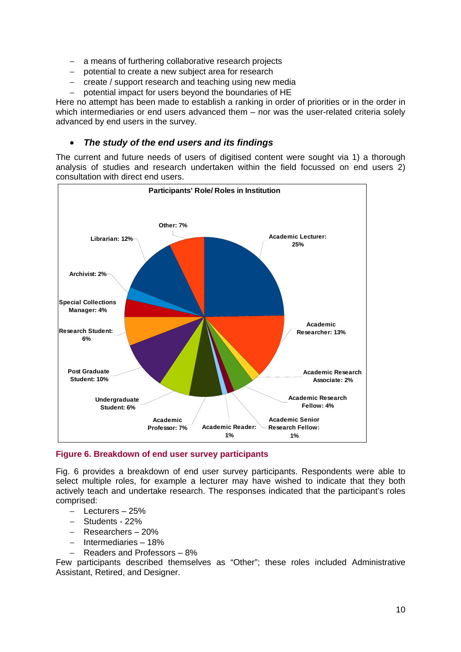- − a means of furthering collaborative research projects
- − potential to create a new subject area for research
- − create / support research and teaching using new media
- − potential impact for users beyond the boundaries of HE

Here no attempt has been made to establish a ranking in order of priorities or in the order in which intermediaries or end users advanced them – nor was the user-related criteria solely advanced by end users in the survey.

#### • *The study of the end users and its findings*

The current and future needs of users of digitised content were sought via 1) a thorough analysis of studies and research undertaken within the field focussed on end users 2) consultation with direct end users.



**Figure 6. Breakdown of end user survey participants**

Fig. 6 provides a breakdown of end user survey participants. Respondents were able to select multiple roles, for example a lecturer may have wished to indicate that they both actively teach and undertake research. The responses indicated that the participant's roles comprised:

- − Lecturers 25%
- − Students 22%
- − Researchers 20%
- − Intermediaries 18%
- − Readers and Professors 8%

Few participants described themselves as "Other"; these roles included Administrative Assistant, Retired, and Designer.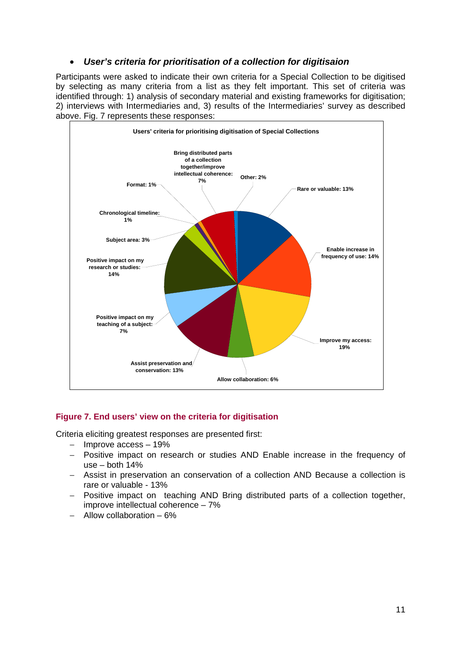# • *User's criteria for prioritisation of a collection for digitisaion*

Participants were asked to indicate their own criteria for a Special Collection to be digitised by selecting as many criteria from a list as they felt important. This set of criteria was identified through: 1) analysis of secondary material and existing frameworks for digitisation; 2) interviews with Intermediaries and, 3) results of the Intermediaries' survey as described above. Fig. 7 represents these responses:



## **Figure 7. End users' view on the criteria for digitisation**

Criteria eliciting greatest responses are presented first:

- − Improve access 19%
- − Positive impact on research or studies AND Enable increase in the frequency of use – both 14%
- − Assist in preservation an conservation of a collection AND Because a collection is rare or valuable - 13%
- − Positive impact on teaching AND Bring distributed parts of a collection together, improve intellectual coherence – 7%
- − Allow collaboration 6%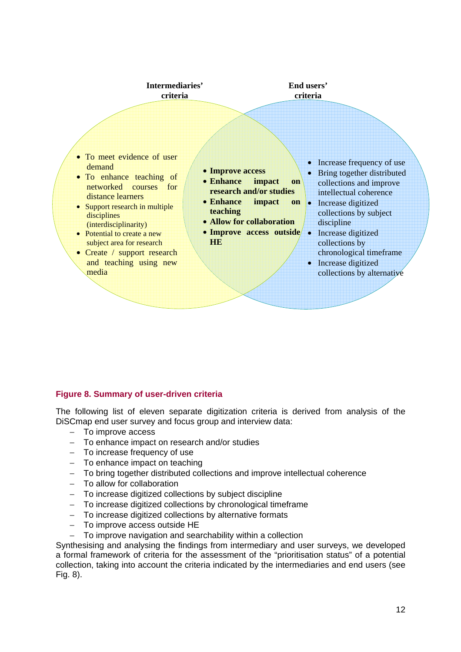

#### **Figure 8. Summary of user-driven criteria**

The following list of eleven separate digitization criteria is derived from analysis of the DiSCmap end user survey and focus group and interview data:

- − To improve access
- − To enhance impact on research and/or studies
- − To increase frequency of use
- − To enhance impact on teaching
- − To bring together distributed collections and improve intellectual coherence
- − To allow for collaboration
- − To increase digitized collections by subject discipline
- − To increase digitized collections by chronological timeframe
- − To increase digitized collections by alternative formats
- − To improve access outside HE
- To improve navigation and searchability within a collection

Synthesising and analysing the findings from intermediary and user surveys, we developed a formal framework of criteria for the assessment of the "prioritisation status" of a potential collection, taking into account the criteria indicated by the intermediaries and end users (see Fig. 8).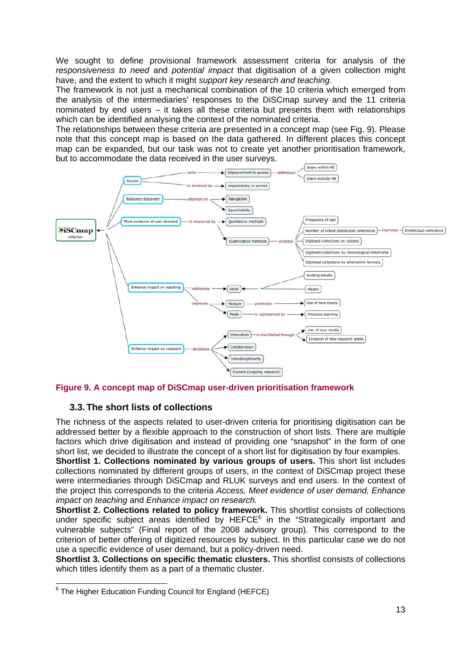We sought to define provisional framework assessment criteria for analysis of the *responsiveness to need* and *potential impact* that digitisation of a given collection might have, and the extent to which it might *support key research and teaching*.

The framework is not just a mechanical combination of the 10 criteria which emerged from the analysis of the intermediaries' responses to the DiSCmap survey and the 11 criteria nominated by end users – it takes all these criteria but presents them with relationships which can be identified analysing the context of the nominated criteria.

The relationships between these criteria are presented in a concept map (see Fig. 9). Please note that this concept map is based on the data gathered. In different places this concept map can be expanded, but our task was not to create yet another prioritisation framework, but to accommodate the data received in the user surveys.



**Figure 9. A concept map of DiSCmap user-driven prioritisation framework** 

# **3.3. The short lists of collections**

The richness of the aspects related to user-driven criteria for prioritising digitisation can be addressed better by a flexible approach to the construction of short lists. There are multiple factors which drive digitisation and instead of providing one "snapshot" in the form of one short list, we decided to illustrate the concept of a short list for digitisation by four examples.

**Shortlist 1. Collections nominated by various groups of users.** This short list includes collections nominated by different groups of users, in the context of DiSCmap project these were intermediaries through DiSCmap and RLUK surveys and end users. In the context of the project this corresponds to the criteria *Access, Meet evidence of user demand, Enhance impact on teaching* and *Enhance impact on research.* 

**Shortlist 2. Collections related to policy framework.** This shortlist consists of collections under specific subject areas identified by  $HEFCE<sup>6</sup>$  in the "Strategically important and vulnerable subjects" (Final report of the 2008 advisory group). This correspond to the criterion of better offering of digitized resources by subject. In this particular case we do not use a specific evidence of user demand, but a policy-driven need.

**Shortlist 3. Collections on specific thematic clusters.** This shortlist consists of collections which titles identify them as a part of a thematic cluster.

 6 The Higher Education Funding Council for England (HEFCE)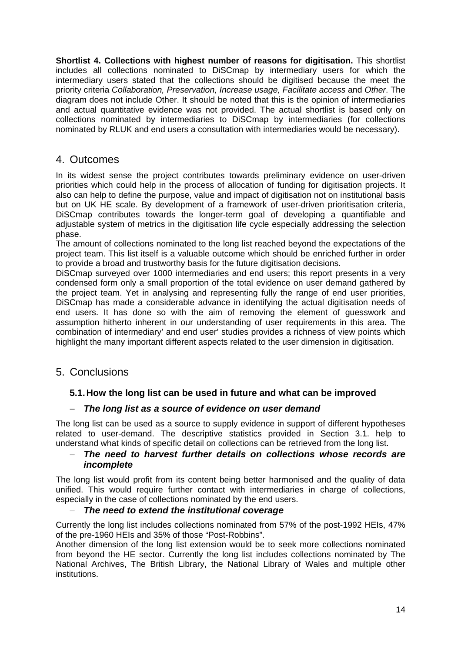**Shortlist 4. Collections with highest number of reasons for digitisation.** This shortlist includes all collections nominated to DiSCmap by intermediary users for which the intermediary users stated that the collections should be digitised because the meet the priority criteria *Collaboration, Preservation, Increase usage, Facilitate access* and *Other*. The diagram does not include Other. It should be noted that this is the opinion of intermediaries and actual quantitative evidence was not provided. The actual shortlist is based only on collections nominated by intermediaries to DiSCmap by intermediaries (for collections nominated by RLUK and end users a consultation with intermediaries would be necessary).

# 4. Outcomes

In its widest sense the project contributes towards preliminary evidence on user-driven priorities which could help in the process of allocation of funding for digitisation projects. It also can help to define the purpose, value and impact of digitisation not on institutional basis but on UK HE scale. By development of a framework of user-driven prioritisation criteria, DiSCmap contributes towards the longer-term goal of developing a quantifiable and adjustable system of metrics in the digitisation life cycle especially addressing the selection phase.

The amount of collections nominated to the long list reached beyond the expectations of the project team. This list itself is a valuable outcome which should be enriched further in order to provide a broad and trustworthy basis for the future digitisation decisions.

DiSCmap surveyed over 1000 intermediaries and end users; this report presents in a very condensed form only a small proportion of the total evidence on user demand gathered by the project team. Yet in analysing and representing fully the range of end user priorities, DiSCmap has made a considerable advance in identifying the actual digitisation needs of end users. It has done so with the aim of removing the element of guesswork and assumption hitherto inherent in our understanding of user requirements in this area. The combination of intermediary' and end user' studies provides a richness of view points which highlight the many important different aspects related to the user dimension in digitisation.

# 5. Conclusions

# **5.1. How the long list can be used in future and what can be improved**

## − *The long list as a source of evidence on user demand*

The long list can be used as a source to supply evidence in support of different hypotheses related to user-demand. The descriptive statistics provided in Section 3.1. help to understand what kinds of specific detail on collections can be retrieved from the long list.

#### − *The need to harvest further details on collections whose records are incomplete*

The long list would profit from its content being better harmonised and the quality of data unified. This would require further contact with intermediaries in charge of collections, especially in the case of collections nominated by the end users.

## − *The need to extend the institutional coverage*

Currently the long list includes collections nominated from 57% of the post-1992 HEIs, 47% of the pre-1960 HEIs and 35% of those "Post-Robbins".

Another dimension of the long list extension would be to seek more collections nominated from beyond the HE sector. Currently the long list includes collections nominated by The National Archives, The British Library, the National Library of Wales and multiple other institutions.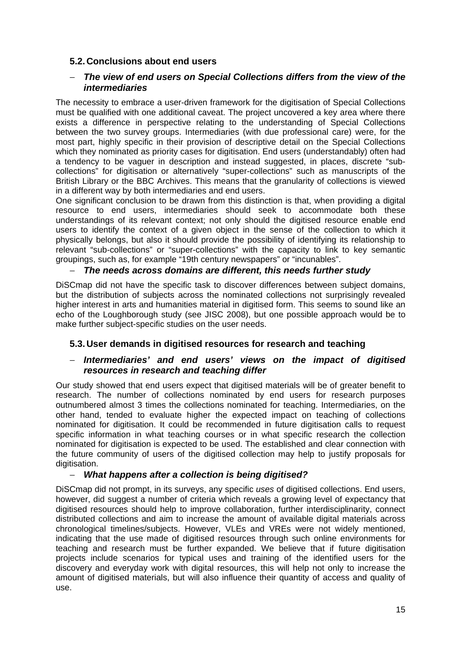# **5.2. Conclusions about end users**

## − *The view of end users on Special Collections differs from the view of the intermediaries*

The necessity to embrace a user-driven framework for the digitisation of Special Collections must be qualified with one additional caveat. The project uncovered a key area where there exists a difference in perspective relating to the understanding of Special Collections between the two survey groups. Intermediaries (with due professional care) were, for the most part, highly specific in their provision of descriptive detail on the Special Collections which they nominated as priority cases for digitisation. End users (understandably) often had a tendency to be vaguer in description and instead suggested, in places, discrete "subcollections" for digitisation or alternatively "super-collections" such as manuscripts of the British Library or the BBC Archives. This means that the granularity of collections is viewed in a different way by both intermediaries and end users.

One significant conclusion to be drawn from this distinction is that, when providing a digital resource to end users, intermediaries should seek to accommodate both these understandings of its relevant context; not only should the digitised resource enable end users to identify the context of a given object in the sense of the collection to which it physically belongs, but also it should provide the possibility of identifying its relationship to relevant "sub-collections" or "super-collections" with the capacity to link to key semantic groupings, such as, for example "19th century newspapers" or "incunables".

## − *The needs across domains are different, this needs further study*

DiSCmap did not have the specific task to discover differences between subject domains, but the distribution of subjects across the nominated collections not surprisingly revealed higher interest in arts and humanities material in digitised form. This seems to sound like an echo of the Loughborough study (see JISC 2008), but one possible approach would be to make further subject-specific studies on the user needs.

## **5.3. User demands in digitised resources for research and teaching**

## − *Intermediaries' and end users' views on the impact of digitised resources in research and teaching differ*

Our study showed that end users expect that digitised materials will be of greater benefit to research. The number of collections nominated by end users for research purposes outnumbered almost 3 times the collections nominated for teaching. Intermediaries, on the other hand, tended to evaluate higher the expected impact on teaching of collections nominated for digitisation. It could be recommended in future digitisation calls to request specific information in what teaching courses or in what specific research the collection nominated for digitisation is expected to be used. The established and clear connection with the future community of users of the digitised collection may help to justify proposals for digitisation.

#### − *What happens after a collection is being digitised?*

DiSCmap did not prompt, in its surveys, any specific *uses* of digitised collections. End users, however, did suggest a number of criteria which reveals a growing level of expectancy that digitised resources should help to improve collaboration, further interdisciplinarity, connect distributed collections and aim to increase the amount of available digital materials across chronological timelines/subjects. However, VLEs and VREs were not widely mentioned, indicating that the use made of digitised resources through such online environments for teaching and research must be further expanded. We believe that if future digitisation projects include scenarios for typical uses and training of the identified users for the discovery and everyday work with digital resources, this will help not only to increase the amount of digitised materials, but will also influence their quantity of access and quality of use.